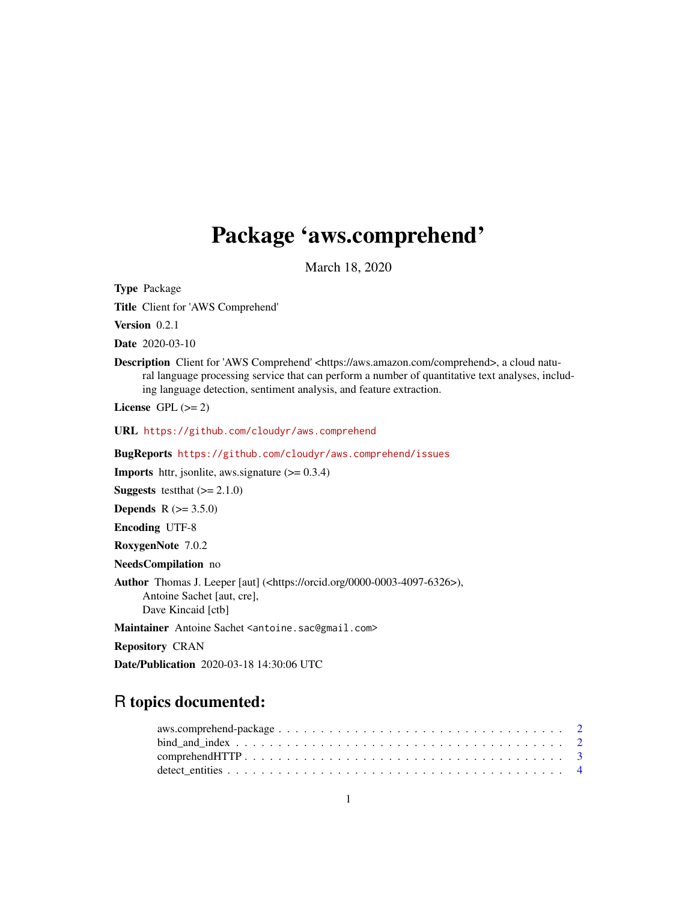## Package 'aws.comprehend'

March 18, 2020

<span id="page-0-0"></span>Type Package

Title Client for 'AWS Comprehend'

Version 0.2.1

Date 2020-03-10

Description Client for 'AWS Comprehend' <https://aws.amazon.com/comprehend>, a cloud natural language processing service that can perform a number of quantitative text analyses, including language detection, sentiment analysis, and feature extraction.

License GPL  $(>= 2)$ 

URL <https://github.com/cloudyr/aws.comprehend>

BugReports <https://github.com/cloudyr/aws.comprehend/issues>

**Imports** httr, jsonlite, aws.signature  $(>= 0.3.4)$ 

**Suggests** test that  $(>= 2.1.0)$ 

**Depends** R  $(>= 3.5.0)$ 

Encoding UTF-8

RoxygenNote 7.0.2

NeedsCompilation no

Author Thomas J. Leeper [aut] (<https://orcid.org/0000-0003-4097-6326>), Antoine Sachet [aut, cre], Dave Kincaid [ctb]

Maintainer Antoine Sachet <antoine.sac@gmail.com>

Repository CRAN

Date/Publication 2020-03-18 14:30:06 UTC

### R topics documented: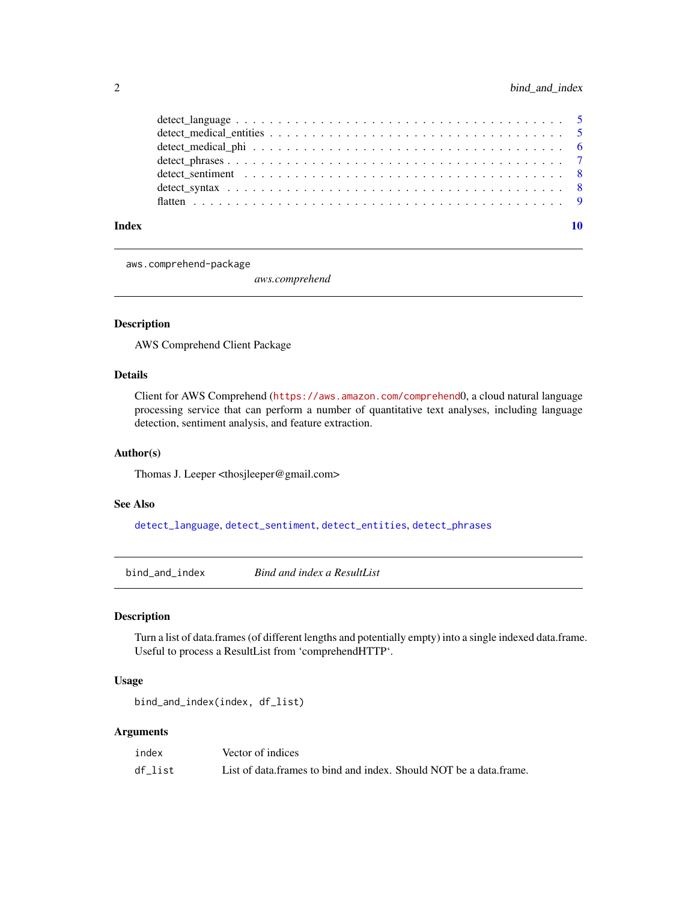<span id="page-1-0"></span>

| detect sentiment response to the series of the series of the series of the series of the series of the series of the series of the series of the series of the series of the series of the series of the series of the series |  |  |  |  |  |  |  |  |  |  |  |  |  |  |  |
|-------------------------------------------------------------------------------------------------------------------------------------------------------------------------------------------------------------------------------|--|--|--|--|--|--|--|--|--|--|--|--|--|--|--|
|                                                                                                                                                                                                                               |  |  |  |  |  |  |  |  |  |  |  |  |  |  |  |
|                                                                                                                                                                                                                               |  |  |  |  |  |  |  |  |  |  |  |  |  |  |  |
|                                                                                                                                                                                                                               |  |  |  |  |  |  |  |  |  |  |  |  |  |  |  |

aws.comprehend-package

*aws.comprehend*

#### Description

AWS Comprehend Client Package

#### Details

Client for AWS Comprehend (<https://aws.amazon.com/comprehend>0, a cloud natural language processing service that can perform a number of quantitative text analyses, including language detection, sentiment analysis, and feature extraction.

#### Author(s)

Thomas J. Leeper <thosjleeper@gmail.com>

#### See Also

[detect\\_language](#page-4-1), [detect\\_sentiment](#page-7-1), [detect\\_entities](#page-3-1), [detect\\_phrases](#page-6-1)

bind\_and\_index *Bind and index a ResultList*

#### Description

Turn a list of data.frames (of different lengths and potentially empty) into a single indexed data.frame. Useful to process a ResultList from 'comprehendHTTP'.

#### Usage

```
bind_and_index(index, df_list)
```
#### Arguments

| index   | Vector of indices                                                  |
|---------|--------------------------------------------------------------------|
| df list | List of data frames to bind and index. Should NOT be a data frame. |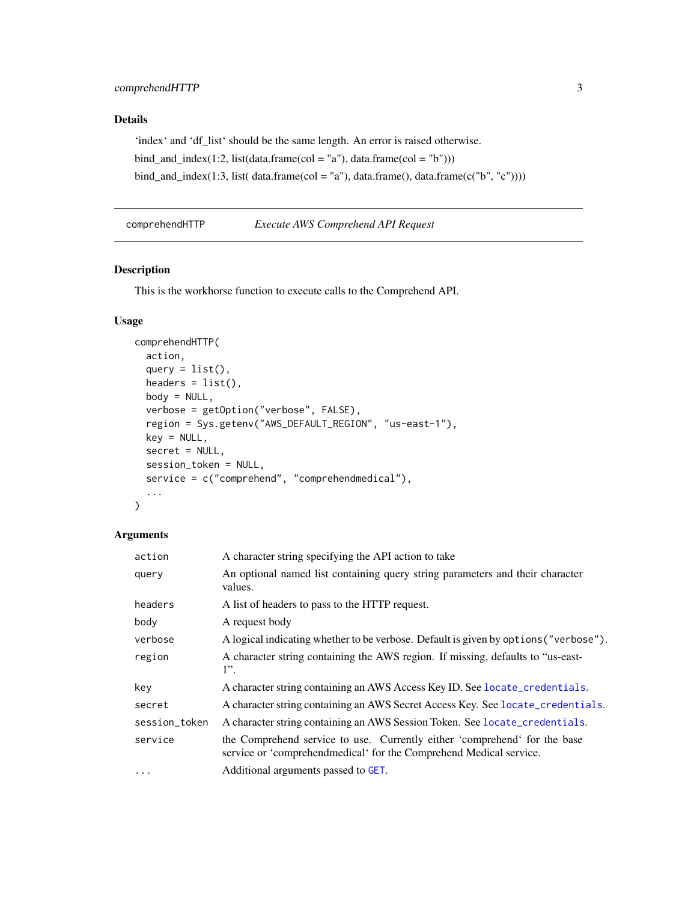#### <span id="page-2-0"></span>Details

'index' and 'df\_list' should be the same length. An error is raised otherwise. bind\_and\_index(1:2, list(data.frame(col = "a"), data.frame(col = "b"))) bind\_and\_index(1:3, list( $dataframe,col = "a"$ ), data.frame(), data.frame( $c("b", "c"))$ ))

<span id="page-2-1"></span>comprehendHTTP *Execute AWS Comprehend API Request*

#### Description

This is the workhorse function to execute calls to the Comprehend API.

#### Usage

```
comprehendHTTP(
  action,
  query = list(),
  headers = list(),
  body = NULL,verbose = getOption("verbose", FALSE),
  region = Sys.getenv("AWS_DEFAULT_REGION", "us-east-1"),
  key = NULL,
  secret = NULL,
  session_token = NULL,
  service = c("comprehend", "comprehendmedical"),
  ...
)
```
#### Arguments

| action        | A character string specifying the API action to take                                                                                             |
|---------------|--------------------------------------------------------------------------------------------------------------------------------------------------|
| query         | An optional named list containing query string parameters and their character<br>values.                                                         |
| headers       | A list of headers to pass to the HTTP request.                                                                                                   |
| body          | A request body                                                                                                                                   |
| verbose       | A logical indicating whether to be verbose. Default is given by options ("verbose").                                                             |
| region        | A character string containing the AWS region. If missing, defaults to "us-east-<br>$1$ ".                                                        |
| key           | A character string containing an AWS Access Key ID. See locate_credentials.                                                                      |
| secret        | A character string containing an AWS Secret Access Key. See locate_credentials.                                                                  |
| session_token | A character string containing an AWS Session Token. See locate_credentials.                                                                      |
| service       | the Comprehend service to use. Currently either 'comprehend' for the base<br>service or 'comprehend medical' for the Comprehend Medical service. |
| $\cdots$      | Additional arguments passed to GET.                                                                                                              |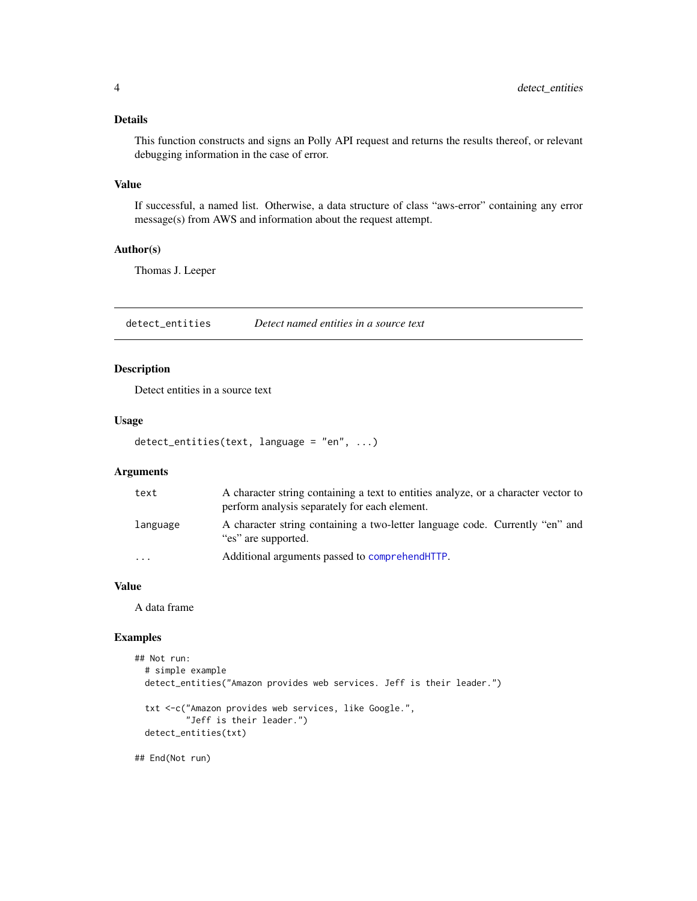#### <span id="page-3-0"></span>Details

This function constructs and signs an Polly API request and returns the results thereof, or relevant debugging information in the case of error.

#### Value

If successful, a named list. Otherwise, a data structure of class "aws-error" containing any error message(s) from AWS and information about the request attempt.

#### Author(s)

Thomas J. Leeper

<span id="page-3-1"></span>detect\_entities *Detect named entities in a source text*

#### Description

Detect entities in a source text

#### Usage

```
detect_entities(text, language = "en", ...)
```
#### Arguments

| text      | A character string containing a text to entities analyze, or a character vector to<br>perform analysis separately for each element. |
|-----------|-------------------------------------------------------------------------------------------------------------------------------------|
| language  | A character string containing a two-letter language code. Currently "en" and<br>"es" are supported.                                 |
| $\ddotsc$ | Additional arguments passed to comprehend HTTP.                                                                                     |

#### Value

A data frame

#### Examples

```
## Not run:
 # simple example
 detect_entities("Amazon provides web services. Jeff is their leader.")
 txt <-c("Amazon provides web services, like Google.",
          "Jeff is their leader.")
 detect_entities(txt)
```
## End(Not run)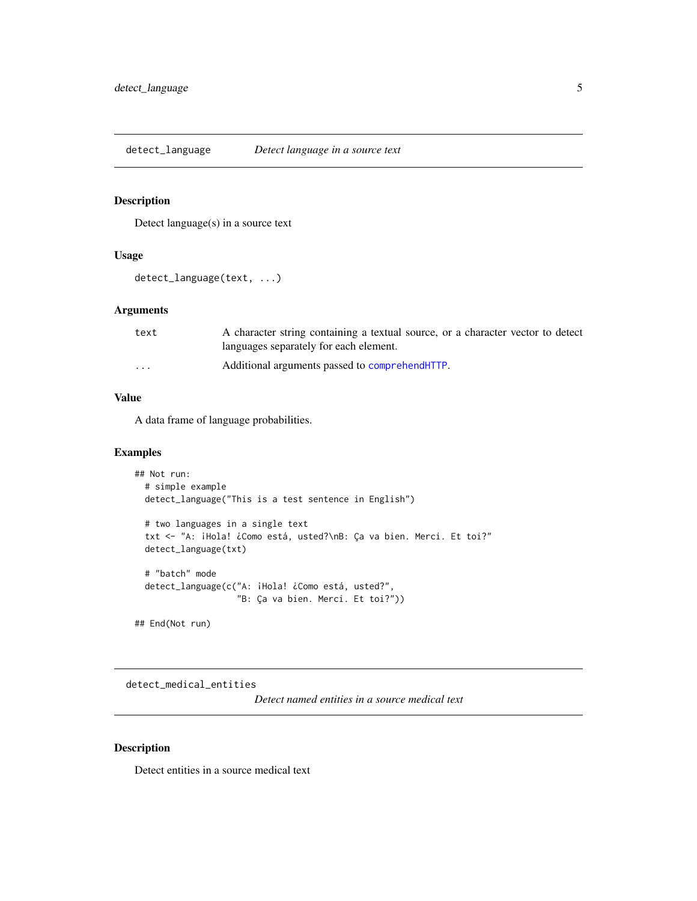<span id="page-4-1"></span><span id="page-4-0"></span>detect\_language *Detect language in a source text*

#### Description

Detect language(s) in a source text

#### Usage

```
detect_language(text, ...)
```
#### Arguments

| text     | A character string containing a textual source, or a character vector to detect |
|----------|---------------------------------------------------------------------------------|
|          | languages separately for each element.                                          |
| $\cdots$ | Additional arguments passed to comprehend HTTP.                                 |

#### Value

A data frame of language probabilities.

#### Examples

```
## Not run:
 # simple example
 detect_language("This is a test sentence in English")
 # two languages in a single text
 txt <- "A: ¡Hola! ¿Como está, usted?\nB: Ça va bien. Merci. Et toi?"
 detect_language(txt)
 # "batch" mode
 detect_language(c("A: ¡Hola! ¿Como está, usted?",
                    "B: Ça va bien. Merci. Et toi?"))
```
## End(Not run)

detect\_medical\_entities

*Detect named entities in a source medical text*

#### Description

Detect entities in a source medical text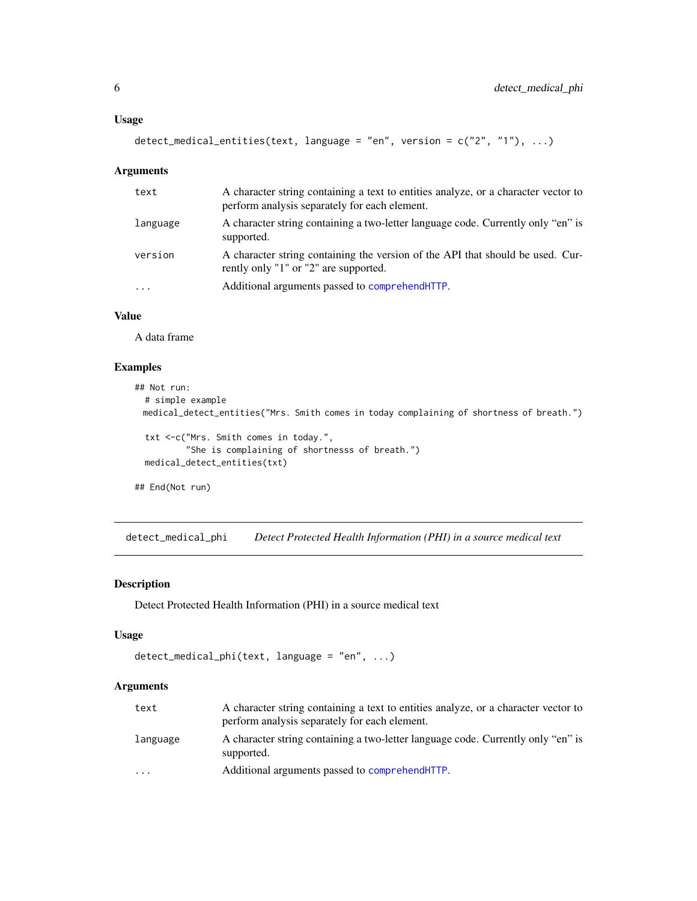```
detect_medical_entities(text, language = "en", version = c("2", "1"), ...)
```
#### Arguments

| text     | A character string containing a text to entities analyze, or a character vector to<br>perform analysis separately for each element. |
|----------|-------------------------------------------------------------------------------------------------------------------------------------|
| language | A character string containing a two-letter language code. Currently only "en" is<br>supported.                                      |
| version  | A character string containing the version of the API that should be used. Cur-<br>rently only "1" or "2" are supported.             |
| $\cdots$ | Additional arguments passed to comprehend HTTP.                                                                                     |

#### Value

A data frame

#### Examples

```
## Not run:
 # simple example
 medical_detect_entities("Mrs. Smith comes in today complaining of shortness of breath.")
 txt <-c("Mrs. Smith comes in today.",
          "She is complaining of shortnesss of breath.")
 medical_detect_entities(txt)
## End(Not run)
```
detect\_medical\_phi *Detect Protected Health Information (PHI) in a source medical text*

#### Description

Detect Protected Health Information (PHI) in a source medical text

#### Usage

```
detect_medical_phi(text, language = "en", ...)
```
#### Arguments

| text     | A character string containing a text to entities analyze, or a character vector to<br>perform analysis separately for each element. |
|----------|-------------------------------------------------------------------------------------------------------------------------------------|
| Language | A character string containing a two-letter language code. Currently only "en" is<br>supported.                                      |
| $\cdots$ | Additional arguments passed to comprehend HTTP.                                                                                     |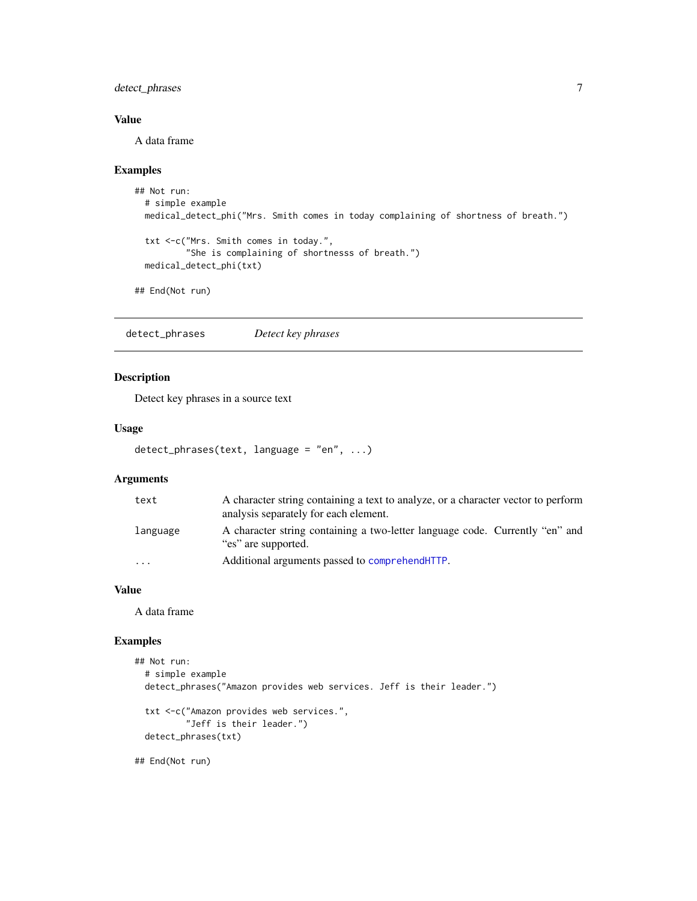#### <span id="page-6-0"></span>detect\_phrases 7

#### Value

A data frame

#### Examples

```
## Not run:
  # simple example
  medical_detect_phi("Mrs. Smith comes in today complaining of shortness of breath.")
  txt <-c("Mrs. Smith comes in today.",
          "She is complaining of shortnesss of breath.")
  medical_detect_phi(txt)
## End(Not run)
```
<span id="page-6-1"></span>detect\_phrases *Detect key phrases*

#### Description

Detect key phrases in a source text

#### Usage

```
detect_phrases(text, language = "en", ...)
```
#### Arguments

| text     | A character string containing a text to analyze, or a character vector to perform<br>analysis separately for each element. |
|----------|----------------------------------------------------------------------------------------------------------------------------|
| language | A character string containing a two-letter language code. Currently "en" and<br>"es" are supported.                        |
| $\cdots$ | Additional arguments passed to comprehend HTTP.                                                                            |

#### Value

A data frame

#### Examples

```
## Not run:
  # simple example
  detect_phrases("Amazon provides web services. Jeff is their leader.")
  txt <-c("Amazon provides web services.",
          "Jeff is their leader.")
  detect_phrases(txt)
```
## End(Not run)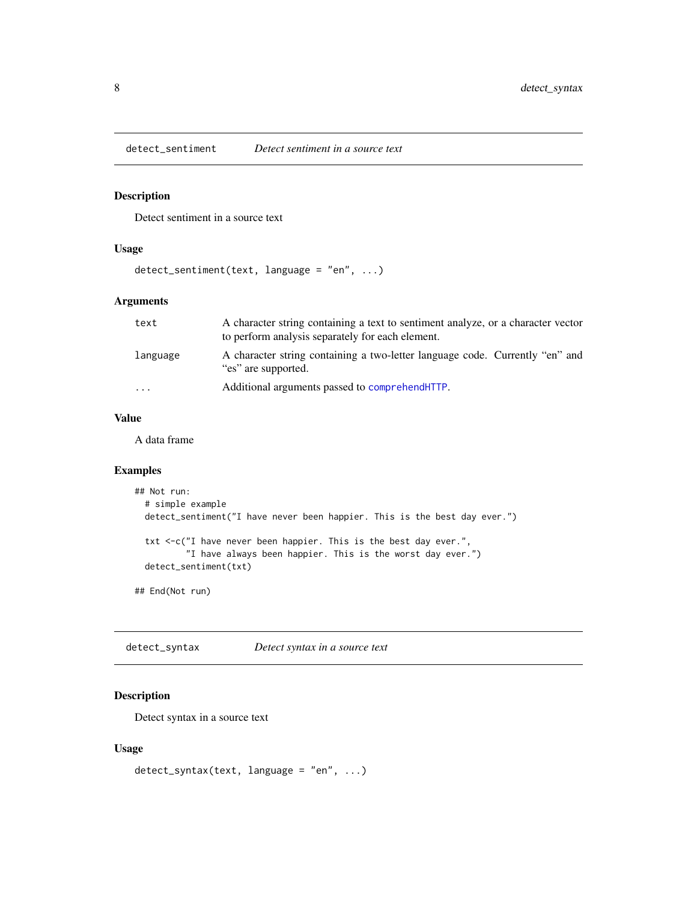<span id="page-7-1"></span><span id="page-7-0"></span>

#### Description

Detect sentiment in a source text

#### Usage

```
detect_sentiment(text, language = "en", ...)
```
#### Arguments

| text     | A character string containing a text to sentiment analyze, or a character vector<br>to perform analysis separately for each element. |
|----------|--------------------------------------------------------------------------------------------------------------------------------------|
| Language | A character string containing a two-letter language code. Currently "en" and<br>"es" are supported.                                  |
| .        | Additional arguments passed to comprehend HTTP.                                                                                      |

#### Value

A data frame

#### Examples

```
## Not run:
 # simple example
 detect_sentiment("I have never been happier. This is the best day ever.")
 txt <-c("I have never been happier. This is the best day ever.",
          "I have always been happier. This is the worst day ever.")
 detect_sentiment(txt)
```
## End(Not run)

detect\_syntax *Detect syntax in a source text*

#### Description

Detect syntax in a source text

#### Usage

```
detect_syntax(text, language = "en", ...)
```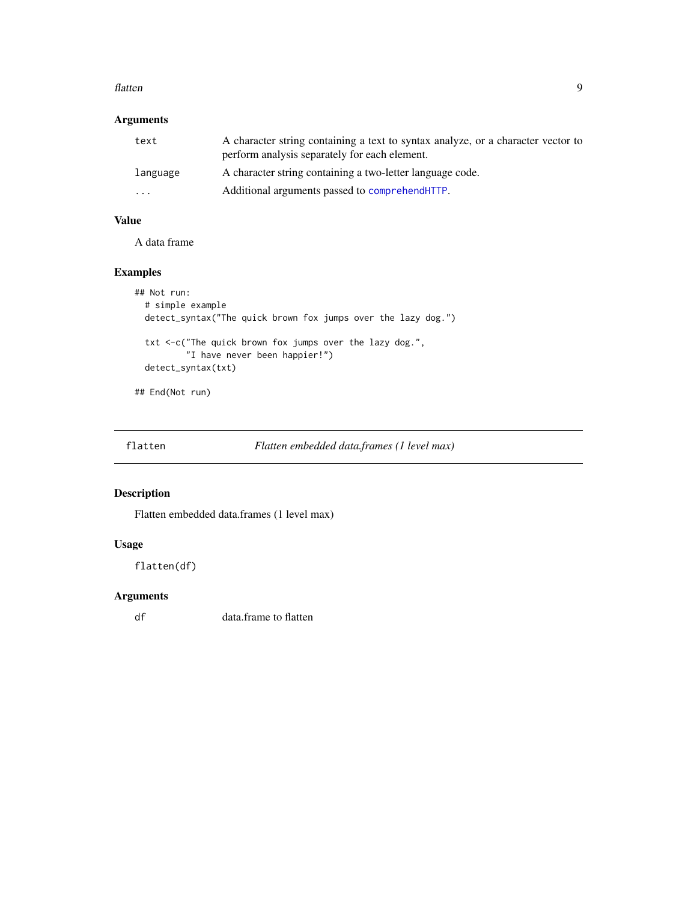#### <span id="page-8-0"></span>flatten 1988 blev at 1988 blev at 1988 blev at 1988 blev at 1988 blev at 1988 blev at 1988 blev at 1988 blev a

#### Arguments

| text                    | A character string containing a text to syntax analyze, or a character vector to<br>perform analysis separately for each element. |
|-------------------------|-----------------------------------------------------------------------------------------------------------------------------------|
| language                | A character string containing a two-letter language code.                                                                         |
| $\cdot$ $\cdot$ $\cdot$ | Additional arguments passed to comprehend HTTP.                                                                                   |

### Value

A data frame

#### Examples

```
## Not run:
  # simple example
  detect_syntax("The quick brown fox jumps over the lazy dog.")
  txt <-c("The quick brown fox jumps over the lazy dog.",
          "I have never been happier!")
  detect_syntax(txt)
```
## End(Not run)

flatten *Flatten embedded data.frames (1 level max)*

#### Description

Flatten embedded data.frames (1 level max)

#### Usage

flatten(df)

#### Arguments

df data.frame to flatten